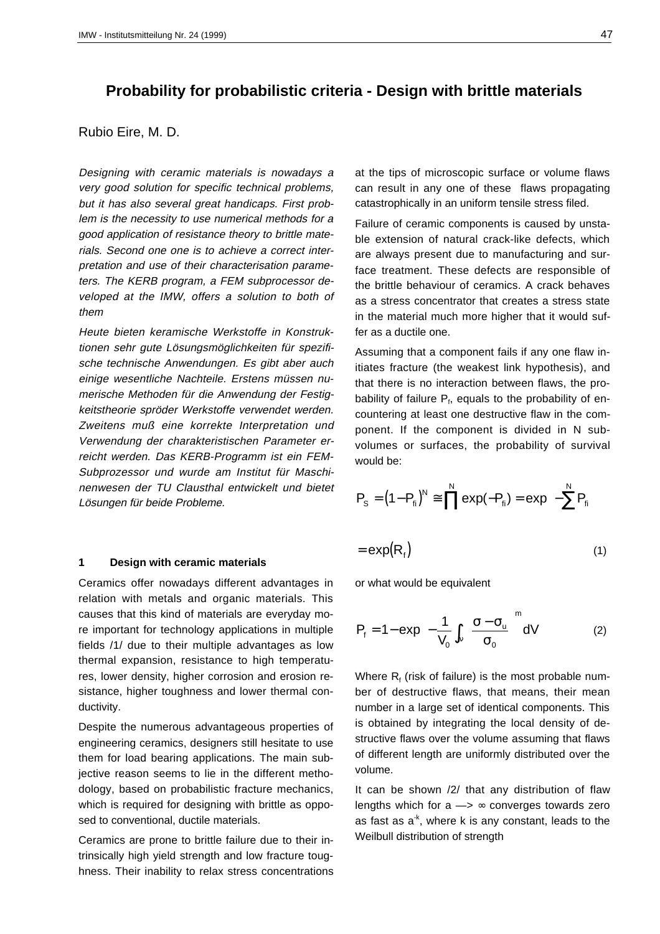# **Probability for probabilistic criteria - Design with brittle materials**

# Rubio Eire, M. D.

Designing with ceramic materials is nowadays a very good solution for specific technical problems, but it has also several great handicaps. First problem is the necessity to use numerical methods for a good application of resistance theory to brittle materials. Second one one is to achieve a correct interpretation and use of their characterisation parameters. The KERB program, a FEM subprocessor developed at the IMW, offers a solution to both of them

Heute bieten keramische Werkstoffe in Konstruktionen sehr gute Lösungsmöglichkeiten für spezifische technische Anwendungen. Es gibt aber auch einige wesentliche Nachteile. Erstens müssen numerische Methoden für die Anwendung der Festigkeitstheorie spröder Werkstoffe verwendet werden. Zweitens muß eine korrekte Interpretation und Verwendung der charakteristischen Parameter erreicht werden. Das KERB-Programm ist ein FEM-Subprozessor und wurde am Institut für Maschinenwesen der TU Clausthal entwickelt und bietet Lösungen für beide Probleme.

# **1 Design with ceramic materials**

Ceramics offer nowadays different advantages in relation with metals and organic materials. This causes that this kind of materials are everyday more important for technology applications in multiple fields /1/ due to their multiple advantages as low thermal expansion, resistance to high temperatures, lower density, higher corrosion and erosion resistance, higher toughness and lower thermal conductivity.

Despite the numerous advantageous properties of engineering ceramics, designers still hesitate to use them for load bearing applications. The main subjective reason seems to lie in the different methodology, based on probabilistic fracture mechanics, which is required for designing with brittle as opposed to conventional, ductile materials.

Ceramics are prone to brittle failure due to their intrinsically high yield strength and low fracture toughness. Their inability to relax stress concentrations at the tips of microscopic surface or volume flaws can result in any one of these flaws propagating catastrophically in an uniform tensile stress filed.

Failure of ceramic components is caused by unstable extension of natural crack-like defects, which are always present due to manufacturing and surface treatment. These defects are responsible of the brittle behaviour of ceramics. A crack behaves as a stress concentrator that creates a stress state in the material much more higher that it would suffer as a ductile one.

Assuming that a component fails if any one flaw initiates fracture (the weakest link hypothesis), and that there is no interaction between flaws, the probability of failure  $P_f$ , equals to the probability of encountering at least one destructive flaw in the component. If the component is divided in N subvolumes or surfaces, the probability of survival would be:

$$
P_{\rm S} = (1 - P_{\rm fi})^N \cong \prod^N \exp(-P_{\rm fi}) = \exp\left(-\sum^N P_{\rm fi}\right)
$$

 $= \exp(R_f)$  (1)

or what would be equivalent

$$
P_{f} = 1 - \exp\left(-\frac{1}{V_{0}} \int_{V} \left(\frac{\sigma - \sigma_{u}}{\sigma_{0}}\right)^{m} dV\right)
$$
 (2)

Where  $R_f$  (risk of failure) is the most probable number of destructive flaws, that means, their mean number in a large set of identical components. This is obtained by integrating the local density of destructive flaws over the volume assuming that flaws of different length are uniformly distributed over the volume.

It can be shown /2/ that any distribution of flaw lengths which for  $a \rightarrow \infty$  converges towards zero as fast as  $a^k$ , where k is any constant, leads to the Weilbull distribution of strength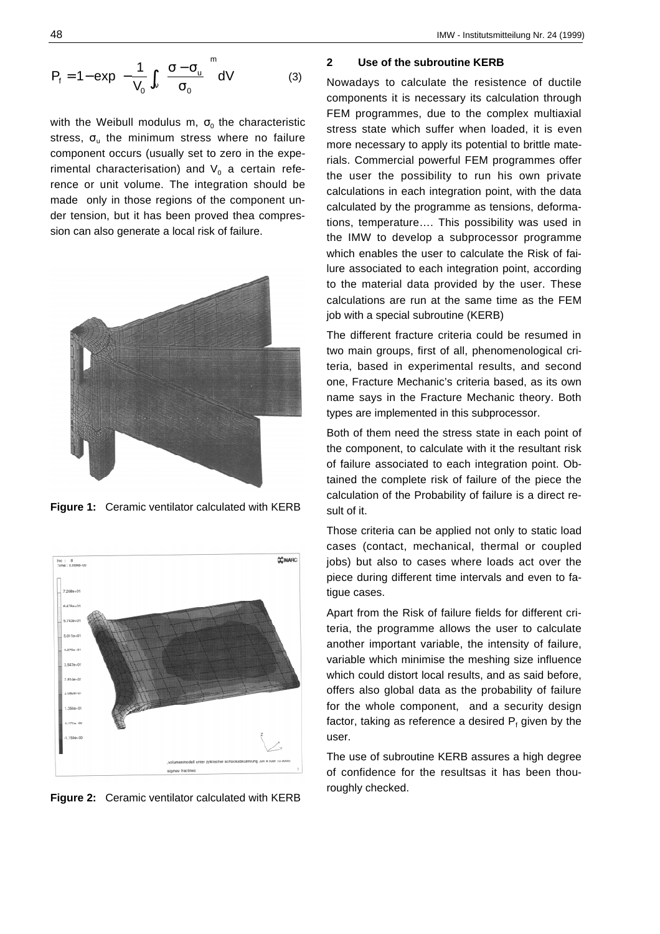$$
P_{f} = 1 - \exp\left(-\frac{1}{V_{0}}\int_{V}\left(\frac{\sigma - \sigma_{u}}{\sigma_{0}}\right)^{m}dV\right)
$$
 (3)

with the Weibull modulus m,  $\sigma_0$  the characteristic stress,  $\sigma_u$  the minimum stress where no failure component occurs (usually set to zero in the experimental characterisation) and  $V_0$  a certain reference or unit volume. The integration should be made only in those regions of the component under tension, but it has been proved thea compression can also generate a local risk of failure.



**Figure 1:** Ceramic ventilator calculated with KERB



**Figure 2:** Ceramic ventilator calculated with KERB

## **2 Use of the subroutine KERB**

Nowadays to calculate the resistence of ductile components it is necessary its calculation through FEM programmes, due to the complex multiaxial stress state which suffer when loaded, it is even more necessary to apply its potential to brittle materials. Commercial powerful FEM programmes offer the user the possibility to run his own private calculations in each integration point, with the data calculated by the programme as tensions, deformations, temperature…. This possibility was used in the IMW to develop a subprocessor programme which enables the user to calculate the Risk of failure associated to each integration point, according to the material data provided by the user. These calculations are run at the same time as the FEM job with a special subroutine (KERB)

The different fracture criteria could be resumed in two main groups, first of all, phenomenological criteria, based in experimental results, and second one, Fracture Mechanic's criteria based, as its own name says in the Fracture Mechanic theory. Both types are implemented in this subprocessor.

Both of them need the stress state in each point of the component, to calculate with it the resultant risk of failure associated to each integration point. Obtained the complete risk of failure of the piece the calculation of the Probability of failure is a direct result of it.

Those criteria can be applied not only to static load cases (contact, mechanical, thermal or coupled jobs) but also to cases where loads act over the piece during different time intervals and even to fatigue cases.

Apart from the Risk of failure fields for different criteria, the programme allows the user to calculate another important variable, the intensity of failure, variable which minimise the meshing size influence which could distort local results, and as said before, offers also global data as the probability of failure for the whole component, and a security design factor, taking as reference a desired  $\mathsf{P}_\mathsf{f}$  given by the user.

The use of subroutine KERB assures a high degree of confidence for the resultsas it has been thouroughly checked.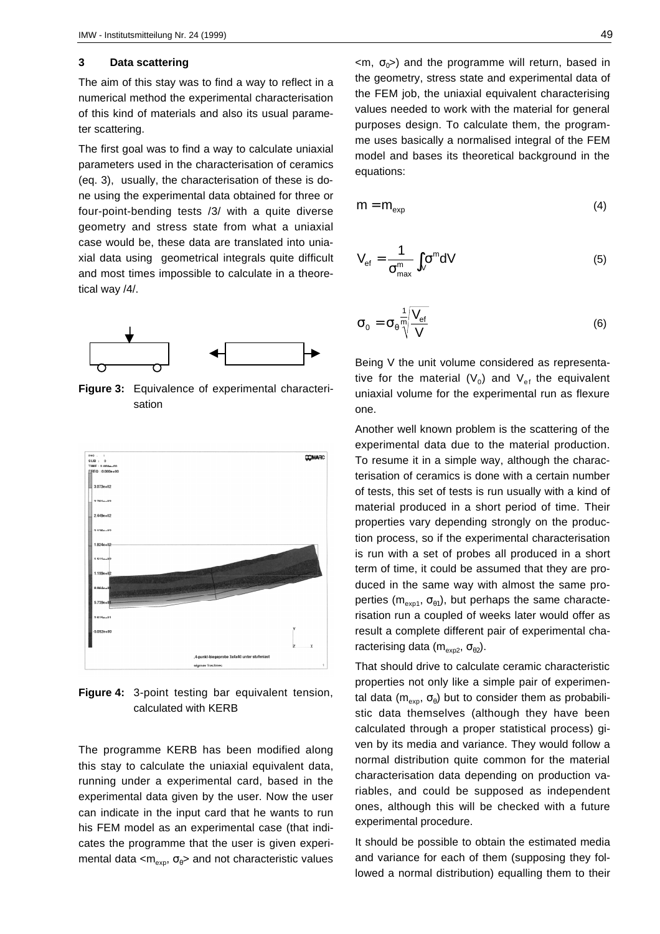#### **3 Data scattering**

The aim of this stay was to find a way to reflect in a numerical method the experimental characterisation of this kind of materials and also its usual parameter scattering.

The first goal was to find a way to calculate uniaxial parameters used in the characterisation of ceramics (eq. 3), usually, the characterisation of these is done using the experimental data obtained for three or four-point-bending tests /3/ with a quite diverse geometry and stress state from what a uniaxial case would be, these data are translated into uniaxial data using geometrical integrals quite difficult and most times impossible to calculate in a theoretical way /4/.



**Figure 3:** Equivalence of experimental characterisation



**Figure 4:** 3-point testing bar equivalent tension, calculated with KERB

The programme KERB has been modified along this stay to calculate the uniaxial equivalent data, running under a experimental card, based in the experimental data given by the user. Now the user can indicate in the input card that he wants to run his FEM model as an experimental case (that indicates the programme that the user is given experimental data  $\langle m_{\text{exp}} , \sigma_{\theta} \rangle$  and not characteristic values

 $\langle m, \sigma_0 \rangle$  and the programme will return, based in the geometry, stress state and experimental data of the FEM job, the uniaxial equivalent characterising values needed to work with the material for general purposes design. To calculate them, the programme uses basically a normalised integral of the FEM model and bases its theoretical background in the equations:

$$
m = m_{\text{exp}} \tag{4}
$$

$$
V_{ef} = \frac{1}{\sigma_{\text{max}}^m} \int_V \sigma^m dV
$$
 (5)

$$
\sigma_0 = \sigma_0 \frac{1}{N} \sqrt{\frac{V_{\text{ef}}}{V}}
$$
 (6)

Being V the unit volume considered as representative for the material  $(V_0)$  and  $V_{ef}$  the equivalent uniaxial volume for the experimental run as flexure one.

Another well known problem is the scattering of the experimental data due to the material production. To resume it in a simple way, although the characterisation of ceramics is done with a certain number of tests, this set of tests is run usually with a kind of material produced in a short period of time. Their properties vary depending strongly on the production process, so if the experimental characterisation is run with a set of probes all produced in a short term of time, it could be assumed that they are produced in the same way with almost the same properties ( $m_{\text{exp1}}$ ,  $\sigma_{\theta1}$ ), but perhaps the same characterisation run a coupled of weeks later would offer as result a complete different pair of experimental characterising data ( $m_{exp2}$ ,  $\sigma_{\theta2}$ ).

That should drive to calculate ceramic characteristic properties not only like a simple pair of experimental data ( $m_{\text{exo}}$ ,  $\sigma_{\theta}$ ) but to consider them as probabilistic data themselves (although they have been calculated through a proper statistical process) given by its media and variance. They would follow a normal distribution quite common for the material characterisation data depending on production variables, and could be supposed as independent ones, although this will be checked with a future experimental procedure.

It should be possible to obtain the estimated media and variance for each of them (supposing they followed a normal distribution) equalling them to their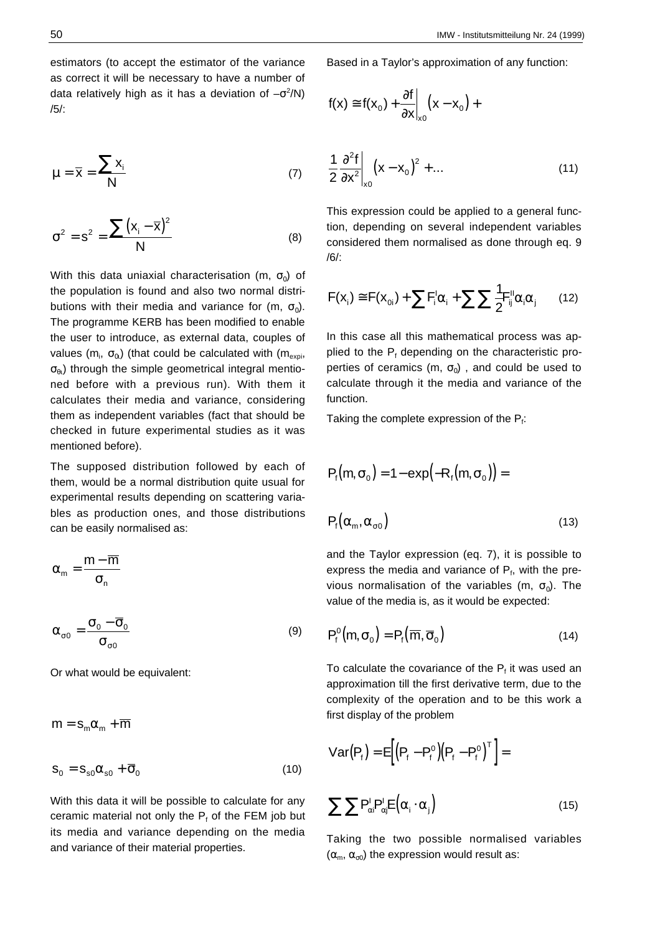estimators (to accept the estimator of the variance as correct it will be necessary to have a number of data relatively high as it has a deviation of  $-\sigma^2/N$ ) /5/:

$$
\mu = \overline{x} = \frac{\sum x_i}{N}
$$
 (7)

$$
\sigma^2 = s^2 = \frac{\sum (x_i - \overline{x})^2}{N}
$$
 (8)

With this data uniaxial characterisation (m,  $\sigma_0$ ) of the population is found and also two normal distributions with their media and variance for (m,  $\sigma_0$ ). The programme KERB has been modified to enable the user to introduce, as external data, couples of values (m<sub>i</sub>,  $\sigma_{0l}$ ) (that could be calculated with (m<sub>expi</sub>,  $\sigma_{\theta}$ ) through the simple geometrical integral mentioned before with a previous run). With them it calculates their media and variance, considering them as independent variables (fact that should be checked in future experimental studies as it was mentioned before).

The supposed distribution followed by each of them, would be a normal distribution quite usual for experimental results depending on scattering variables as production ones, and those distributions can be easily normalised as:

$$
\alpha_m=\frac{m-\overline{m}}{\sigma_n}
$$

$$
\alpha_{\sigma 0} = \frac{\sigma_0 - \overline{\sigma}_0}{\sigma_{\sigma 0}} \tag{9}
$$

Or what would be equivalent:

$$
m = s_m \alpha_m + \overline{m}
$$
  

$$
s_0 = s_{s0} \alpha_{s0} + \overline{\sigma}_0
$$
 (10)

With this data it will be possible to calculate for any ceramic material not only the  $P_f$  of the FEM job but its media and variance depending on the media and variance of their material properties.

Based in a Taylor's approximation of any function:

$$
f(x) \cong f(x_0) + \frac{\partial f}{\partial x}\bigg|_{x_0} (x - x_0) +
$$

$$
\frac{1}{2} \frac{\partial^2 f}{\partial x^2}\bigg|_{x_0} (x - x_0)^2 + \dots \tag{11}
$$

This expression could be applied to a general function, depending on several independent variables considered them normalised as done through eq. 9 /6/:

$$
F(\mathbf{x}_i) \cong F(\mathbf{x}_{0i}) + \sum F_i^{\mathsf{I}} \alpha_i + \sum \sum \frac{1}{2} F_{ij}^{\mathsf{II}} \alpha_i \alpha_j \qquad (12)
$$

In this case all this mathematical process was applied to the P<sub>f</sub> depending on the characteristic properties of ceramics (m,  $\sigma_0$ ), and could be used to calculate through it the media and variance of the function.

Taking the complete expression of the  $P_f$ :

$$
P_{f}(m, \sigma_{0}) = 1 - \exp(-R_{f}(m, \sigma_{0})) =
$$
  

$$
P_{f}(\alpha_{m}, \alpha_{\sigma 0})
$$
 (13)

and the Taylor expression (eq. 7), it is possible to express the media and variance of  $P_f$ , with the previous normalisation of the variables (m,  $\sigma_0$ ). The value of the media is, as it would be expected:

$$
P_f^0(m, \sigma_0) = P_f(\overline{m}, \overline{\sigma}_0)
$$
 (14)

To calculate the covariance of the  $P_f$  it was used an approximation till the first derivative term, due to the complexity of the operation and to be this work a first display of the problem

$$
Var(P_{f}) = E\left[(P_{f} - P_{f}^{o})(P_{f} - P_{f}^{o})^{T}\right] = \sum \sum P_{\alpha i}^{I} P_{\alpha j}^{I} E(\alpha_{i} \cdot \alpha_{j})
$$
\n(15)

Taking the two possible normalised variables  $(\alpha_m, \alpha_{\sigma0})$  the expression would result as: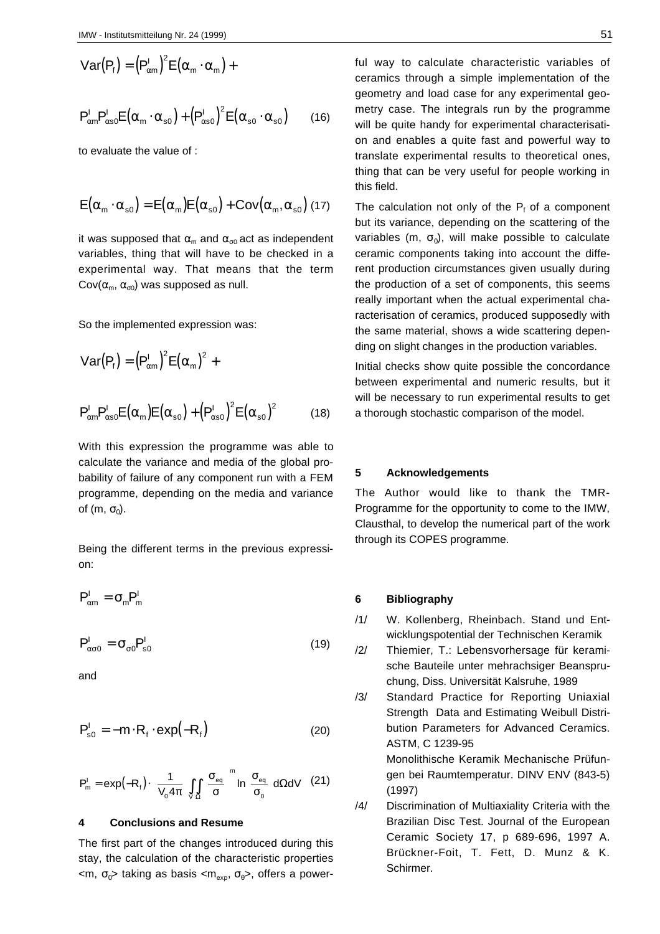$$
Var(Pf) = (Pαm1)2E(αm · αm) +
$$
  

$$
Pαm1Pαs02E(αm · αs0) + (Pαs01)2E(αs0 · αs0)
$$
 (16)

to evaluate the value of :

$$
E\big(\alpha_{\scriptscriptstyle m}\cdot\alpha_{\scriptscriptstyle s0}\big)=E\big(\alpha_{\scriptscriptstyle m}\big)E\big(\alpha_{\scriptscriptstyle s0}\big)+Cov\big(\alpha_{\scriptscriptstyle m},\alpha_{\scriptscriptstyle s0}\big)\,(17)
$$

it was supposed that  $\alpha_m$  and  $\alpha_{m0}$  act as independent variables, thing that will have to be checked in a experimental way. That means that the term Cov( $\alpha_{\rm m}$ ,  $\alpha_{\rm o0}$ ) was supposed as null.

So the implemented expression was:

$$
Var(Pf) = (Pcm1)2E( $\alpha$ <sub>m</sub>)<sup>2</sup> +  
P<sub>cm</sub><sup>1</sup>P<sub>cos0</sub><sup>1</sup>E( $\alpha$ <sub>m</sub>)E( $\alpha$ <sub>so</sub>) + (P<sub>cos0</sub><sup>1</sup>)<sup>2</sup>E( $\alpha$ <sub>so</sub>)<sup>2</sup> (18)
$$

With this expression the programme was able to calculate the variance and media of the global probability of failure of any component run with a FEM programme, depending on the media and variance of (m,  $\sigma_0$ ).

Being the different terms in the previous expression:

$$
P^I_{\alpha m} = \sigma_m P^I_m
$$

$$
P_{\alpha\sigma0}^I = \sigma_{\sigma0} P_{s0}^I
$$
 (19)

and

$$
P_{s0}^{I} = -m \cdot R_{f} \cdot exp(-R_{f})
$$
 (20)

$$
P_{m}^{I} = exp(-R_{f}) \cdot \left(\frac{1}{V_{0} 4\pi} \right) \int_{V_{\Omega}} \int_{\Omega} \left(\frac{\sigma_{eq}}{\sigma}\right)^{m} ln \left(\frac{\sigma_{eq}}{\sigma_{0}}\right) d\Omega dV \quad (21)
$$

## **4 Conclusions and Resume**

The first part of the changes introduced during this stay, the calculation of the characteristic properties  $\langle m, \sigma_0 \rangle$  taking as basis  $\langle m_{\text{ex}}, \sigma_0 \rangle$ , offers a powerful way to calculate characteristic variables of ceramics through a simple implementation of the geometry and load case for any experimental geometry case. The integrals run by the programme will be quite handy for experimental characterisation and enables a quite fast and powerful way to translate experimental results to theoretical ones, thing that can be very useful for people working in this field.

The calculation not only of the  $P_f$  of a component but its variance, depending on the scattering of the variables (m,  $\sigma_0$ ), will make possible to calculate ceramic components taking into account the different production circumstances given usually during the production of a set of components, this seems really important when the actual experimental characterisation of ceramics, produced supposedly with the same material, shows a wide scattering depending on slight changes in the production variables.

Initial checks show quite possible the concordance between experimental and numeric results, but it will be necessary to run experimental results to get a thorough stochastic comparison of the model.

# **5 Acknowledgements**

The Author would like to thank the TMR-Programme for the opportunity to come to the IMW, Clausthal, to develop the numerical part of the work through its COPES programme.

### **6 Bibliography**

/1/ W. Kollenberg, Rheinbach. Stand und Entwicklungspotential der Technischen Keramik

/2/ Thiemier, T.: Lebensvorhersage für keramische Bauteile unter mehrachsiger Beanspruchung, Diss. Universität Kalsruhe, 1989

/3/ Standard Practice for Reporting Uniaxial Strength Data and Estimating Weibull Distribution Parameters for Advanced Ceramics. ASTM, C 1239-95

> Monolithische Keramik Mechanische Prüfungen bei Raumtemperatur. DINV ENV (843-5) (1997)

/4/ Discrimination of Multiaxiality Criteria with the Brazilian Disc Test. Journal of the European Ceramic Society 17, p 689-696, 1997 A. Brückner-Foit, T. Fett, D. Munz & K. Schirmer.